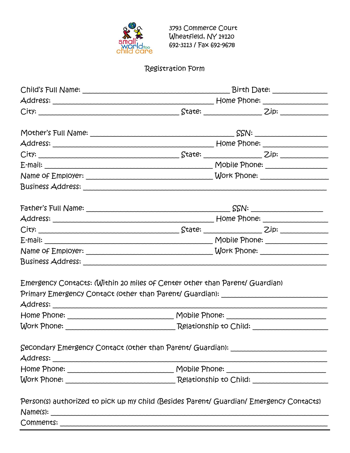

# Registration Form

| Emergency Contacts: (Within 20 miles of Center other than Parent/ Guardian) |                                                                                         |
|-----------------------------------------------------------------------------|-----------------------------------------------------------------------------------------|
|                                                                             | Primary Emergency Contact (other than Parent/ Guardian): _______________________        |
|                                                                             |                                                                                         |
|                                                                             |                                                                                         |
|                                                                             | Secondary Emergency Contact (other than Parent/ Guardian): _____________________        |
|                                                                             |                                                                                         |
|                                                                             |                                                                                         |
|                                                                             | Person(s) authorized to pick up my child (Besides Parent/ Guardian/ Emergency Contacts) |
|                                                                             |                                                                                         |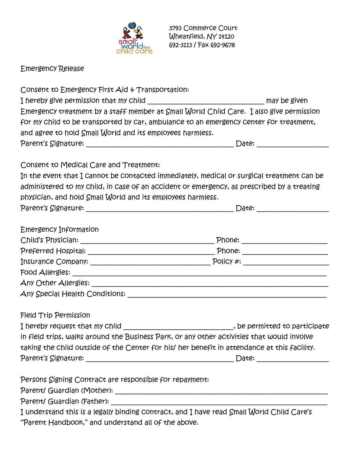

Emergency Release

| Consent to Emergency First Aid & Transportation:            |                                                                                                                                                                                          |
|-------------------------------------------------------------|------------------------------------------------------------------------------------------------------------------------------------------------------------------------------------------|
|                                                             | I hereby give permission that my child __________________________________ may be given                                                                                                   |
|                                                             | Emergency treatment by a staff member at Small World Child Care. I also give permission                                                                                                  |
|                                                             | for my child to be transported by car, ambulance to an emergency center for treatment,                                                                                                   |
| and agree to hold Small World and its employees harmless.   |                                                                                                                                                                                          |
|                                                             |                                                                                                                                                                                          |
| Consent to Medical Care and Treatment:                      |                                                                                                                                                                                          |
|                                                             | In the event that I cannot be contacted immediately, medical or surgical treatment can be                                                                                                |
|                                                             | administered to my child, in case of an accident or emergency, as prescribed by a treating                                                                                               |
| physician, and hold Small World and its employees harmless. |                                                                                                                                                                                          |
|                                                             |                                                                                                                                                                                          |
| Emergency Information                                       |                                                                                                                                                                                          |
|                                                             |                                                                                                                                                                                          |
|                                                             |                                                                                                                                                                                          |
|                                                             |                                                                                                                                                                                          |
|                                                             |                                                                                                                                                                                          |
|                                                             |                                                                                                                                                                                          |
|                                                             |                                                                                                                                                                                          |
| <b>Field Trip Permission</b>                                |                                                                                                                                                                                          |
|                                                             |                                                                                                                                                                                          |
|                                                             | I hereby request that my Child ______________________________, be permitted to participate<br>in field trips, walks around the Business Park, or any other activities that would involve |
|                                                             | taking the child outside of the Center for his/ her benefit in attendance at this facility.                                                                                              |
|                                                             |                                                                                                                                                                                          |
|                                                             |                                                                                                                                                                                          |
| Persons Signing Contract are responsible for repayment:     |                                                                                                                                                                                          |
|                                                             |                                                                                                                                                                                          |
|                                                             |                                                                                                                                                                                          |
|                                                             | I understand this is a legally binding contract, and I have read Small World Child Care's                                                                                                |
| "Parent Handbook," and understand all of the above.         |                                                                                                                                                                                          |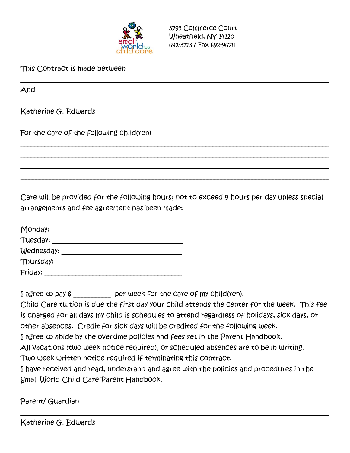

This Contract is made between

And

Katherine G. Edwards

For the care of the following child(ren)

Care will be provided for the following hours; not to exceed 9 hours per day unless special arrangements and fee agreement has been made:

\_\_\_\_\_\_\_\_\_\_\_\_\_\_\_\_\_\_\_\_\_\_\_\_\_\_\_\_\_\_\_\_\_\_\_\_\_\_\_\_\_\_\_\_\_\_\_\_\_\_\_\_\_\_\_\_\_\_\_\_\_\_\_\_\_\_\_\_\_\_\_\_\_\_\_\_\_\_\_\_\_\_\_\_\_\_\_\_\_\_

\_\_\_\_\_\_\_\_\_\_\_\_\_\_\_\_\_\_\_\_\_\_\_\_\_\_\_\_\_\_\_\_\_\_\_\_\_\_\_\_\_\_\_\_\_\_\_\_\_\_\_\_\_\_\_\_\_\_\_\_\_\_\_\_\_\_\_\_\_\_\_\_\_\_\_\_\_\_\_\_\_\_\_\_\_\_\_\_\_\_

\_\_\_\_\_\_\_\_\_\_\_\_\_\_\_\_\_\_\_\_\_\_\_\_\_\_\_\_\_\_\_\_\_\_\_\_\_\_\_\_\_\_\_\_\_\_\_\_\_\_\_\_\_\_\_\_\_\_\_\_\_\_\_\_\_\_\_\_\_\_\_\_\_\_\_\_\_\_\_\_\_\_\_\_\_\_\_\_\_\_ \_\_\_\_\_\_\_\_\_\_\_\_\_\_\_\_\_\_\_\_\_\_\_\_\_\_\_\_\_\_\_\_\_\_\_\_\_\_\_\_\_\_\_\_\_\_\_\_\_\_\_\_\_\_\_\_\_\_\_\_\_\_\_\_\_\_\_\_\_\_\_\_\_\_\_\_\_\_\_\_\_\_\_\_\_\_\_\_\_\_ \_\_\_\_\_\_\_\_\_\_\_\_\_\_\_\_\_\_\_\_\_\_\_\_\_\_\_\_\_\_\_\_\_\_\_\_\_\_\_\_\_\_\_\_\_\_\_\_\_\_\_\_\_\_\_\_\_\_\_\_\_\_\_\_\_\_\_\_\_\_\_\_\_\_\_\_\_\_\_\_\_\_\_\_\_\_\_\_\_\_ \_\_\_\_\_\_\_\_\_\_\_\_\_\_\_\_\_\_\_\_\_\_\_\_\_\_\_\_\_\_\_\_\_\_\_\_\_\_\_\_\_\_\_\_\_\_\_\_\_\_\_\_\_\_\_\_\_\_\_\_\_\_\_\_\_\_\_\_\_\_\_\_\_\_\_\_\_\_\_\_\_\_\_\_\_\_\_\_\_\_

| Monday:    |  |
|------------|--|
| Tuesday:   |  |
| Wednesday: |  |
| Thursday:  |  |
| Friday:    |  |

I agree to pay \$ \_\_\_\_\_\_\_\_\_\_ per week for the care of my child(ren).

Child Care tuition is due the first day your child attends the center for the week. This fee is charged for all days my child is schedules to attend regardless of holidays, sick days, or other absences. Credit for sick days will be credited for the following week.

I agree to abide by the overtime policies and fees set in the Parent Handbook.

All vacations (two week notice required), or scheduled absences are to be in writing.

Two week written notice required if terminating this contract.

I have received and read, understand and agree with the policies and procedures in the Small World Child Care Parent Handbook.

\_\_\_\_\_\_\_\_\_\_\_\_\_\_\_\_\_\_\_\_\_\_\_\_\_\_\_\_\_\_\_\_\_\_\_\_\_\_\_\_\_\_\_\_\_\_\_\_\_\_\_\_\_\_\_\_\_\_\_\_\_\_\_\_\_\_\_\_\_\_\_\_\_\_\_\_\_\_\_\_\_\_\_\_\_\_\_\_\_\_

\_\_\_\_\_\_\_\_\_\_\_\_\_\_\_\_\_\_\_\_\_\_\_\_\_\_\_\_\_\_\_\_\_\_\_\_\_\_\_\_\_\_\_\_\_\_\_\_\_\_\_\_\_\_\_\_\_\_\_\_\_\_\_\_\_\_\_\_\_\_\_\_\_\_\_\_\_\_\_\_\_\_\_\_\_\_\_\_\_\_

Parent/ Guardian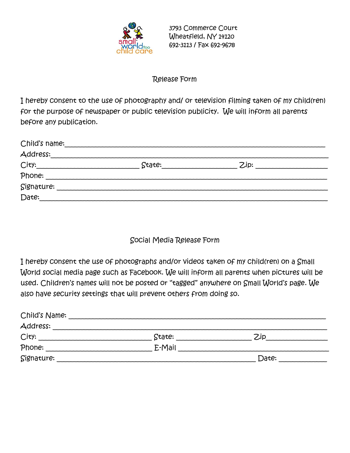

#### Release Form

I hereby consent to the use of photography and/ or television filming taken of my child(ren) for the purpose of newspaper or public television publicity. We will inform all parents before any publication.

| Child's name: |        |      |  |
|---------------|--------|------|--|
| Address:      |        |      |  |
| City:         | State: | Zip: |  |
| Phone:        |        |      |  |
| Signature:    |        |      |  |
| Date:         |        |      |  |

### Social Media Release Form

I hereby consent the use of photographs and/or videos taken of my child(ren) on a Small World social media page such as Facebook. We will inform all parents when pictures will be used. Children's names will not be posted or "tagged" anywhere on Small World's page. We also have security settings that will prevent others from doing so.

| Child's Name: |        |       |  |
|---------------|--------|-------|--|
| Address:      |        |       |  |
| City:         | State: | 7.ip  |  |
| Phone:        | E-Mail |       |  |
| Signature:    |        | Date: |  |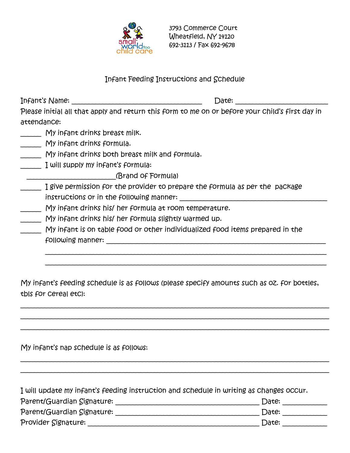

#### Infant Feeding Instructions and Schedule

| Infant's Name: | Date:                                                                                           |
|----------------|-------------------------------------------------------------------------------------------------|
|                | Please initial all that apply and return this form to me on or before your child's first day in |
| attendance:    |                                                                                                 |

- $My$  infant drinks breast milk.
- My infant drinks formula.
- My infant drinks both breast milk and formula.
- $\frac{1}{1}$  will supply my infant's formula:
	- \_\_\_\_\_\_\_\_\_\_\_\_\_\_\_\_\_\_\_\_\_\_\_\_\_\_(Brand of Formula)
- I give permission for the provider to prepare the formula as per the package instructions or in the following manner: \_\_\_\_\_\_\_\_\_\_\_\_\_\_\_\_\_\_\_\_\_\_\_\_\_\_\_\_\_\_\_\_\_\_\_\_\_\_\_\_\_\_\_
- My infant drinks his/ her formula at room temperature.
- \_\_\_\_\_\_ My infant drinks his/ her formula slightly warmed up.
- \_\_\_\_\_\_ My infant is on table food or other individualized food items prepared in the following manner: \_\_\_\_\_\_\_\_\_\_\_\_\_\_\_\_\_\_\_\_\_\_\_\_\_\_\_\_\_\_\_\_\_\_\_\_\_\_\_\_\_\_\_\_\_\_\_\_\_\_\_\_\_\_\_\_\_\_\_\_\_\_\_\_

My infant's feeding schedule is as follows (please specify amounts such as oz. for bottles, tbls for cereal etc):

\_\_\_\_\_\_\_\_\_\_\_\_\_\_\_\_\_\_\_\_\_\_\_\_\_\_\_\_\_\_\_\_\_\_\_\_\_\_\_\_\_\_\_\_\_\_\_\_\_\_\_\_\_\_\_\_\_\_\_\_\_\_\_\_\_\_\_\_\_\_\_\_\_\_\_\_\_\_\_\_\_\_\_\_\_\_\_\_\_\_ \_\_\_\_\_\_\_\_\_\_\_\_\_\_\_\_\_\_\_\_\_\_\_\_\_\_\_\_\_\_\_\_\_\_\_\_\_\_\_\_\_\_\_\_\_\_\_\_\_\_\_\_\_\_\_\_\_\_\_\_\_\_\_\_\_\_\_\_\_\_\_\_\_\_\_\_\_\_\_\_\_\_\_\_\_\_\_\_\_\_ \_\_\_\_\_\_\_\_\_\_\_\_\_\_\_\_\_\_\_\_\_\_\_\_\_\_\_\_\_\_\_\_\_\_\_\_\_\_\_\_\_\_\_\_\_\_\_\_\_\_\_\_\_\_\_\_\_\_\_\_\_\_\_\_\_\_\_\_\_\_\_\_\_\_\_\_\_\_\_\_\_\_\_\_\_\_\_\_\_\_

 \_\_\_\_\_\_\_\_\_\_\_\_\_\_\_\_\_\_\_\_\_\_\_\_\_\_\_\_\_\_\_\_\_\_\_\_\_\_\_\_\_\_\_\_\_\_\_\_\_\_\_\_\_\_\_\_\_\_\_\_\_\_\_\_\_\_\_\_\_\_\_\_\_\_\_\_\_\_\_\_\_\_ \_\_\_\_\_\_\_\_\_\_\_\_\_\_\_\_\_\_\_\_\_\_\_\_\_\_\_\_\_\_\_\_\_\_\_\_\_\_\_\_\_\_\_\_\_\_\_\_\_\_\_\_\_\_\_\_\_\_\_\_\_\_\_\_\_\_\_\_\_\_\_\_\_\_\_\_\_\_\_\_\_\_

My infant's nap schedule is as follows:

| I will update my infant's feeding instruction and schedule in writing as changes occur. |             |
|-----------------------------------------------------------------------------------------|-------------|
| Parent/Guardian Signature:                                                              | $\Box$ ate: |
| Parent/Guardian Signature:                                                              | Date:       |
| Provider Signature:                                                                     | Date:       |

\_\_\_\_\_\_\_\_\_\_\_\_\_\_\_\_\_\_\_\_\_\_\_\_\_\_\_\_\_\_\_\_\_\_\_\_\_\_\_\_\_\_\_\_\_\_\_\_\_\_\_\_\_\_\_\_\_\_\_\_\_\_\_\_\_\_\_\_\_\_\_\_\_\_\_\_\_\_\_\_\_\_\_\_\_\_\_\_\_\_ \_\_\_\_\_\_\_\_\_\_\_\_\_\_\_\_\_\_\_\_\_\_\_\_\_\_\_\_\_\_\_\_\_\_\_\_\_\_\_\_\_\_\_\_\_\_\_\_\_\_\_\_\_\_\_\_\_\_\_\_\_\_\_\_\_\_\_\_\_\_\_\_\_\_\_\_\_\_\_\_\_\_\_\_\_\_\_\_\_\_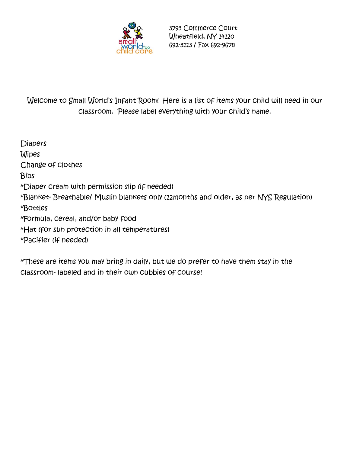

3793 Commerce Court Wheatfield, NY 14120 692-3113 / Fax 692-9678

Welcome to Small World's Infant Room! Here is a list of items your child will need in our classroom. Please label everything with your child's name.

**Diapers Wipes** Change of clothes Bibs \*Diaper cream with permission slip (if needed) \*Blanket- Breathable/ Muslin blankets only (12months and older, as per NYS Regulation) \*Bottles \*Formula, cereal, and/or baby food \*Hat (for sun protection in all temperatures) \*Pacifier (if needed)

\*These are items you may bring in daily, but we do prefer to have them stay in the classroom- labeled and in their own cubbies of course!